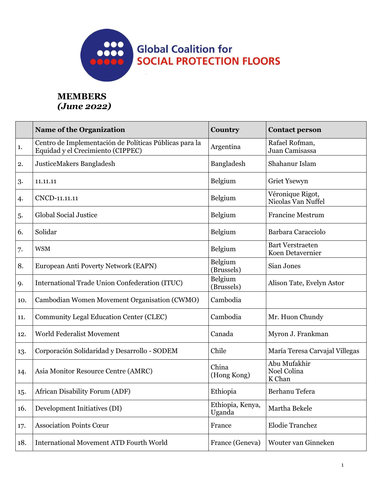

## **MEMBERS** *(June 2022)*

|     | <b>Name of the Organization</b>                                                             | Country                    | <b>Contact person</b>                       |
|-----|---------------------------------------------------------------------------------------------|----------------------------|---------------------------------------------|
| 1.  | Centro de Implementación de Políticas Públicas para la<br>Equidad y el Crecimiento (CIPPEC) | Argentina                  | Rafael Rofman,<br>Juan Camisassa            |
| 2.  | JusticeMakers Bangladesh                                                                    | Bangladesh                 | Shahanur Islam                              |
| 3.  | 11.11.11                                                                                    | Belgium                    | Griet Ysewyn                                |
| 4.  | CNCD-11.11.11                                                                               | Belgium                    | Véronique Rigot,<br>Nicolas Van Nuffel      |
| 5.  | <b>Global Social Justice</b>                                                                | Belgium                    | <b>Francine Mestrum</b>                     |
| 6.  | Solidar                                                                                     | Belgium                    | Barbara Caracciolo                          |
| 7.  | <b>WSM</b>                                                                                  | Belgium                    | <b>Bart Verstraeten</b><br>Koen Detavernier |
| 8.  | European Anti Poverty Network (EAPN)                                                        | Belgium<br>(Brussels)      | Sian Jones                                  |
| 9.  | International Trade Union Confederation (ITUC)                                              | Belgium<br>(Brussels)      | Alison Tate, Evelyn Astor                   |
| 10. | Cambodian Women Movement Organisation (CWMO)                                                | Cambodia                   |                                             |
| 11. | Community Legal Education Center (CLEC)                                                     | Cambodia                   | Mr. Huon Chundy                             |
| 12. | World Federalist Movement                                                                   | Canada                     | Myron J. Frankman                           |
| 13. | Corporación Solidaridad y Desarrollo - SODEM                                                | Chile                      | María Teresa Carvajal Villegas              |
| 14. | Asia Monitor Resource Centre (AMRC)                                                         | China<br>(Hong Kong)       | Abu Mufakhir<br>Noel Colina<br>K Chan       |
| 15. | African Disability Forum (ADF)                                                              | Ethiopia                   | Berhanu Tefera                              |
| 16. | Development Initiatives (DI)                                                                | Ethiopia, Kenya,<br>Uganda | Martha Bekele                               |
| 17. | <b>Association Points Cœur</b>                                                              | France                     | <b>Elodie Tranchez</b>                      |
| 18. | <b>International Movement ATD Fourth World</b>                                              | France (Geneva)            | Wouter van Ginneken                         |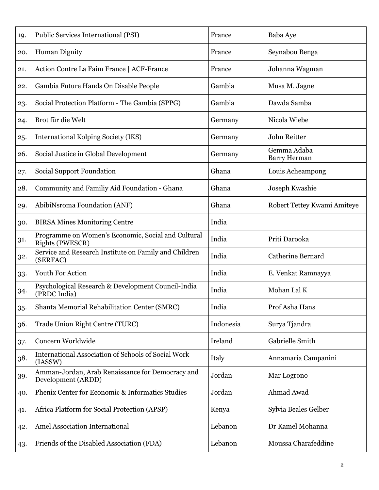| 19. | Public Services International (PSI)                                          | France    | Baba Aye                    |
|-----|------------------------------------------------------------------------------|-----------|-----------------------------|
| 20. | <b>Human Dignity</b>                                                         | France    | Seynabou Benga              |
| 21. | Action Contre La Faim France   ACF-France                                    | France    | Johanna Wagman              |
| 22. | Gambia Future Hands On Disable People                                        | Gambia    | Musa M. Jagne               |
| 23. | Social Protection Platform - The Gambia (SPPG)                               | Gambia    | Dawda Samba                 |
| 24. | Brot für die Welt                                                            | Germany   | Nicola Wiebe                |
| 25. | International Kolping Society (IKS)                                          | Germany   | John Reitter                |
| 26. | Social Justice in Global Development                                         | Germany   | Gemma Adaba<br>Barry Herman |
| 27. | <b>Social Support Foundation</b>                                             | Ghana     | Louis Acheampong            |
| 28. | Community and Familiy Aid Foundation - Ghana                                 | Ghana     | Joseph Kwashie              |
| 29. | AbibiNsroma Foundation (ANF)                                                 | Ghana     | Robert Tettey Kwami Amiteye |
| 30. | <b>BIRSA Mines Monitoring Centre</b>                                         | India     |                             |
| 31. | Programme on Women's Economic, Social and Cultural<br><b>Rights (PWESCR)</b> | India     | Priti Darooka               |
| 32. | Service and Research Institute on Family and Children<br>(SERFAC)            | India     | <b>Catherine Bernard</b>    |
| 33. | Youth For Action                                                             | India     | E. Venkat Ramnayya          |
| 34. | Psychological Research & Development Council-India<br>(PRDC India)           | India     | Mohan Lal K                 |
| 35. | Shanta Memorial Rehabilitation Center (SMRC)                                 | India     | Prof Asha Hans              |
| 36. | Trade Union Right Centre (TURC)                                              | Indonesia | Surya Tjandra               |
| 37. | Concern Worldwide                                                            | Ireland   | Gabrielle Smith             |
| 38. | <b>International Association of Schools of Social Work</b><br>(IASSW)        | Italy     | Annamaria Campanini         |
| 39. | Amman-Jordan, Arab Renaissance for Democracy and<br>Development (ARDD)       | Jordan    | Mar Logrono                 |
| 40. | Phenix Center for Economic & Informatics Studies                             | Jordan    | Ahmad Awad                  |
| 41. | Africa Platform for Social Protection (APSP)                                 | Kenya     | Sylvia Beales Gelber        |
| 42. | <b>Amel Association International</b>                                        | Lebanon   | Dr Kamel Mohanna            |
| 43. | Friends of the Disabled Association (FDA)                                    | Lebanon   | Moussa Charafeddine         |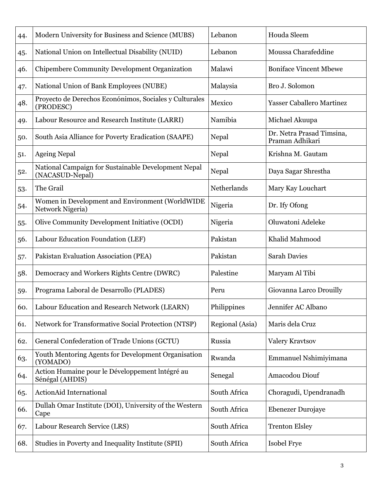| 44. | Modern University for Business and Science (MUBS)                      | Lebanon         | Houda Sleem                                  |
|-----|------------------------------------------------------------------------|-----------------|----------------------------------------------|
| 45. | National Union on Intellectual Disability (NUID)                       | Lebanon         | Moussa Charafeddine                          |
| 46. | Chipembere Community Development Organization                          | Malawi          | <b>Boniface Vincent Mbewe</b>                |
| 47. | National Union of Bank Employees (NUBE)                                | Malaysia        | Bro J. Solomon                               |
| 48. | Proyecto de Derechos Econónimos, Sociales y Culturales<br>(PRODESC)    | Mexico          | <b>Yasser Caballero Martinez</b>             |
| 49. | Labour Resource and Research Institute (LARRI)                         | Namibia         | Michael Akuupa                               |
| 50. | South Asia Alliance for Poverty Eradication (SAAPE)                    | Nepal           | Dr. Netra Prasad Timsina,<br>Praman Adhikari |
| 51. | <b>Ageing Nepal</b>                                                    | Nepal           | Krishna M. Gautam                            |
| 52. | National Campaign for Sustainable Development Nepal<br>(NACASUD-Nepal) | Nepal           | Daya Sagar Shrestha                          |
| 53. | The Grail                                                              | Netherlands     | Mary Kay Louchart                            |
| 54. | Women in Development and Environment (WorldWIDE<br>Network Nigeria)    | Nigeria         | Dr. Ify Ofong                                |
| 55. | Olive Community Development Initiative (OCDI)                          | Nigeria         | Oluwatoni Adeleke                            |
| 56. | Labour Education Foundation (LEF)                                      | Pakistan        | Khalid Mahmood                               |
| 57. | Pakistan Evaluation Association (PEA)                                  | Pakistan        | <b>Sarah Davies</b>                          |
| 58. | Democracy and Workers Rights Centre (DWRC)                             | Palestine       | Maryam Al Tibi                               |
| 59. | Programa Laboral de Desarrollo (PLADES)                                | Peru            | Giovanna Larco Drouilly                      |
| 60. | Labour Education and Research Network (LEARN)                          | Philippines     | Jennifer AC Albano                           |
| 61. | Network for Transformative Social Protection (NTSP)                    | Regional (Asia) | Maris dela Cruz                              |
| 62. | General Confederation of Trade Unions (GCTU)                           | Russia          | <b>Valery Kravtsov</b>                       |
| 63. | Youth Mentoring Agents for Development Organisation<br>(YOMADO)        | Rwanda          | Emmanuel Nshimiyimana                        |
| 64. | Action Humaine pour le Développement Intégré au<br>Sénégal (AHDIS)     | Senegal         | Amacodou Diouf                               |
| 65. | <b>ActionAid International</b>                                         | South Africa    | Choragudi, Upendranadh                       |
| 66. | Dullah Omar Institute (DOI), University of the Western<br>Cape         | South Africa    | Ebenezer Durojaye                            |
| 67. | Labour Research Service (LRS)                                          | South Africa    | <b>Trenton Elsley</b>                        |
| 68. | Studies in Poverty and Inequality Institute (SPII)                     | South Africa    | Isobel Frye                                  |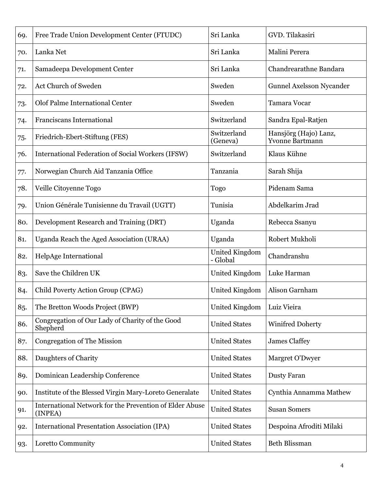| 69. | Free Trade Union Development Center (FTUDC)                        | Sri Lanka                         | GVD. Tilakasiri                                 |
|-----|--------------------------------------------------------------------|-----------------------------------|-------------------------------------------------|
| 70. | Lanka Net                                                          | Sri Lanka                         | Malini Perera                                   |
| 71. | Samadeepa Development Center                                       | Sri Lanka                         | Chandrearathne Bandara                          |
| 72. | Act Church of Sweden                                               | Sweden                            | <b>Gunnel Axelsson Nycander</b>                 |
| 73. | Olof Palme International Center                                    | Sweden                            | Tamara Vocar                                    |
| 74. | Franciscans International                                          | Switzerland                       | Sandra Epal-Ratjen                              |
| 75. | Friedrich-Ebert-Stiftung (FES)                                     | Switzerland<br>(Geneva)           | Hansjörg (Hajo) Lanz,<br><b>Yvonne Bartmann</b> |
| 76. | International Federation of Social Workers (IFSW)                  | Switzerland                       | Klaus Kühne                                     |
| 77. | Norwegian Church Aid Tanzania Office                               | Tanzania                          | Sarah Shija                                     |
| 78. | Veille Citoyenne Togo                                              | <b>Togo</b>                       | Pidenam Sama                                    |
| 79. | Union Générale Tunisienne du Travail (UGTT)                        | Tunisia                           | Abdelkarim Jrad                                 |
| 80. | Development Research and Training (DRT)                            | Uganda                            | Rebecca Ssanyu                                  |
| 81. | Uganda Reach the Aged Association (URAA)                           | Uganda                            | Robert Mukholi                                  |
| 82. | HelpAge International                                              | <b>United Kingdom</b><br>- Global | Chandranshu                                     |
| 83. | Save the Children UK                                               | <b>United Kingdom</b>             | Luke Harman                                     |
| 84. | Child Poverty Action Group (CPAG)                                  | <b>United Kingdom</b>             | Alison Garnham                                  |
| 85. | The Bretton Woods Project (BWP)                                    | <b>United Kingdom</b>             | Luiz Vieira                                     |
| 86. | Congregation of Our Lady of Charity of the Good<br>Shepherd        | <b>United States</b>              | <b>Winifred Doherty</b>                         |
| 87. | <b>Congregation of The Mission</b>                                 | <b>United States</b>              | <b>James Claffey</b>                            |
| 88. | Daughters of Charity                                               | <b>United States</b>              | Margret O'Dwyer                                 |
| 89. | Dominican Leadership Conference                                    | <b>United States</b>              | <b>Dusty Faran</b>                              |
| 90. | Institute of the Blessed Virgin Mary-Loreto Generalate             | <b>United States</b>              | Cynthia Annamma Mathew                          |
| 91. | International Network for the Prevention of Elder Abuse<br>(INPEA) | <b>United States</b>              | <b>Susan Somers</b>                             |
| 92. | <b>International Presentation Association (IPA)</b>                | <b>United States</b>              | Despoina Afroditi Milaki                        |
| 93. | Loretto Community                                                  | <b>United States</b>              | <b>Beth Blissman</b>                            |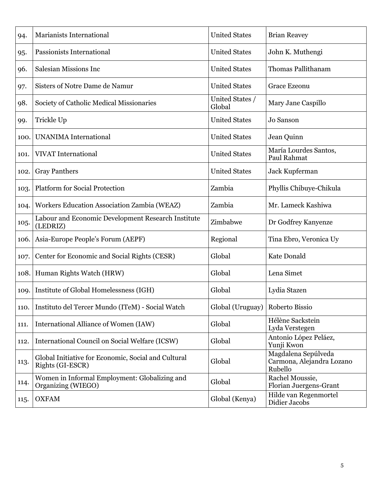| 94.  | <b>Marianists International</b>                                         | <b>United States</b>      | <b>Brian Reavey</b>                                         |
|------|-------------------------------------------------------------------------|---------------------------|-------------------------------------------------------------|
| 95.  | Passionists International                                               | <b>United States</b>      | John K. Muthengi                                            |
| 96.  | Salesian Missions Inc                                                   | <b>United States</b>      | Thomas Pallithanam                                          |
| 97.  | Sisters of Notre Dame de Namur                                          | <b>United States</b>      | <b>Grace Ezeonu</b>                                         |
| 98.  | Society of Catholic Medical Missionaries                                | United States /<br>Global | Mary Jane Caspillo                                          |
| 99.  | Trickle Up                                                              | <b>United States</b>      | Jo Sanson                                                   |
| 100. | <b>UNANIMA</b> International                                            | <b>United States</b>      | Jean Quinn                                                  |
| 101. | <b>VIVAT</b> International                                              | <b>United States</b>      | María Lourdes Santos,<br>Paul Rahmat                        |
| 102. | <b>Gray Panthers</b>                                                    | <b>United States</b>      | Jack Kupferman                                              |
| 103. | <b>Platform for Social Protection</b>                                   | Zambia                    | Phyllis Chibuye-Chikula                                     |
| 104. | Workers Education Association Zambia (WEAZ)                             | Zambia                    | Mr. Lameck Kashiwa                                          |
| 105. | Labour and Economic Development Research Institute<br>(LEDRIZ)          | Zimbabwe                  | Dr Godfrey Kanyenze                                         |
| 106. | Asia-Europe People's Forum (AEPF)                                       | Regional                  | Tina Ebro, Veronica Uy                                      |
| 107. | Center for Economic and Social Rights (CESR)                            | Global                    | Kate Donald                                                 |
| 108. | Human Rights Watch (HRW)                                                | Global                    | Lena Simet                                                  |
| 109. | Institute of Global Homelessness (IGH)                                  | Global                    | Lydia Stazen                                                |
| 110. | Instituto del Tercer Mundo (ITeM) - Social Watch                        | Global (Uruguay)          | Roberto Bissio                                              |
| 111. | International Alliance of Women (IAW)                                   | Global                    | Hélène Sackstein<br>Lyda Verstegen                          |
| 112. | International Council on Social Welfare (ICSW)                          | Global                    | Antonio López Peláez,<br>Yunji Kwon                         |
| 113. | Global Initiative for Economic, Social and Cultural<br>Rights (GI-ESCR) | Global                    | Magdalena Sepúlveda<br>Carmona, Alejandra Lozano<br>Rubello |
| 114. | Women in Informal Employment: Globalizing and<br>Organizing (WIEGO)     | Global                    | Rachel Moussie,<br>Florian Juergens-Grant                   |
| 115. | <b>OXFAM</b>                                                            | Global (Kenya)            | Hilde van Regenmortel<br>Didier Jacobs                      |